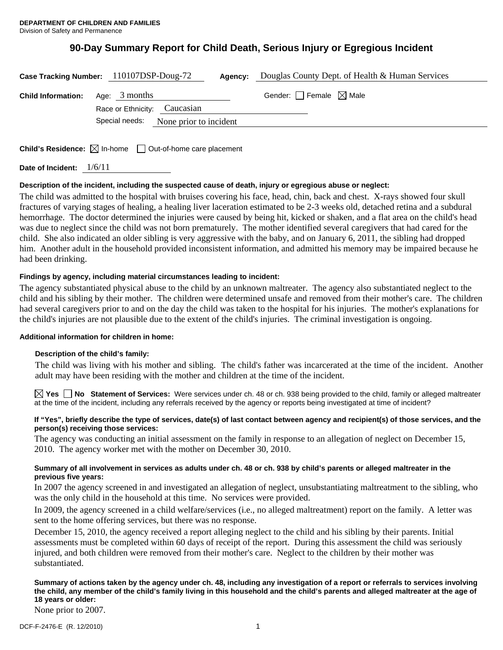# **90-Day Summary Report for Child Death, Serious Injury or Egregious Incident**

| Case Tracking Number: 110107DSP-Doug-72<br>Agency: |                                                                                 | Douglas County Dept. of Health & Human Services |
|----------------------------------------------------|---------------------------------------------------------------------------------|-------------------------------------------------|
| <b>Child Information:</b>                          | Age: $3$ months<br>Race or Ethnicity: Caucasian                                 | Gender: $\Box$ Female $\boxtimes$ Male          |
|                                                    | Special needs:<br>None prior to incident                                        |                                                 |
|                                                    | <b>Child's Residence:</b> $\boxtimes$ In-home $\Box$ Out-of-home care placement |                                                 |

**Date of Incident:** 1/6/11

# **Description of the incident, including the suspected cause of death, injury or egregious abuse or neglect:**

The child was admitted to the hospital with bruises covering his face, head, chin, back and chest. X-rays showed four skull fractures of varying stages of healing, a healing liver laceration estimated to be 2-3 weeks old, detached retina and a subdural hemorrhage. The doctor determined the injuries were caused by being hit, kicked or shaken, and a flat area on the child's head was due to neglect since the child was not born prematurely. The mother identified several caregivers that had cared for the child. She also indicated an older sibling is very aggressive with the baby, and on January 6, 2011, the sibling had dropped him. Another adult in the household provided inconsistent information, and admitted his memory may be impaired because he had been drinking.

# **Findings by agency, including material circumstances leading to incident:**

The agency substantiated physical abuse to the child by an unknown maltreater. The agency also substantiated neglect to the child and his sibling by their mother. The children were determined unsafe and removed from their mother's care. The children had several caregivers prior to and on the day the child was taken to the hospital for his injuries. The mother's explanations for the child's injuries are not plausible due to the extent of the child's injuries. The criminal investigation is ongoing.

## **Additional information for children in home:**

## **Description of the child's family:**

 The child was living with his mother and sibling. The child's father was incarcerated at the time of the incident. Another adult may have been residing with the mother and children at the time of the incident.

**Yes No Statement of Services:** Were services under ch. 48 or ch. 938 being provided to the child, family or alleged maltreater at the time of the incident, including any referrals received by the agency or reports being investigated at time of incident?

## **If "Yes", briefly describe the type of services, date(s) of last contact between agency and recipient(s) of those services, and the person(s) receiving those services:**

The agency was conducting an initial assessment on the family in response to an allegation of neglect on December 15, 2010. The agency worker met with the mother on December 30, 2010.

## **Summary of all involvement in services as adults under ch. 48 or ch. 938 by child's parents or alleged maltreater in the previous five years:**

In 2007 the agency screened in and investigated an allegation of neglect, unsubstantiating maltreatment to the sibling, who was the only child in the household at this time. No services were provided.

In 2009, the agency screened in a child welfare/services (i.e., no alleged maltreatment) report on the family. A letter was sent to the home offering services, but there was no response.

December 15, 2010, the agency received a report alleging neglect to the child and his sibling by their parents. Initial assessments must be completed within 60 days of receipt of the report. During this assessment the child was seriously injured, and both children were removed from their mother's care. Neglect to the children by their mother was substantiated.

# **Summary of actions taken by the agency under ch. 48, including any investigation of a report or referrals to services involving the child, any member of the child's family living in this household and the child's parents and alleged maltreater at the age of 18 years or older:**

None prior to 2007.